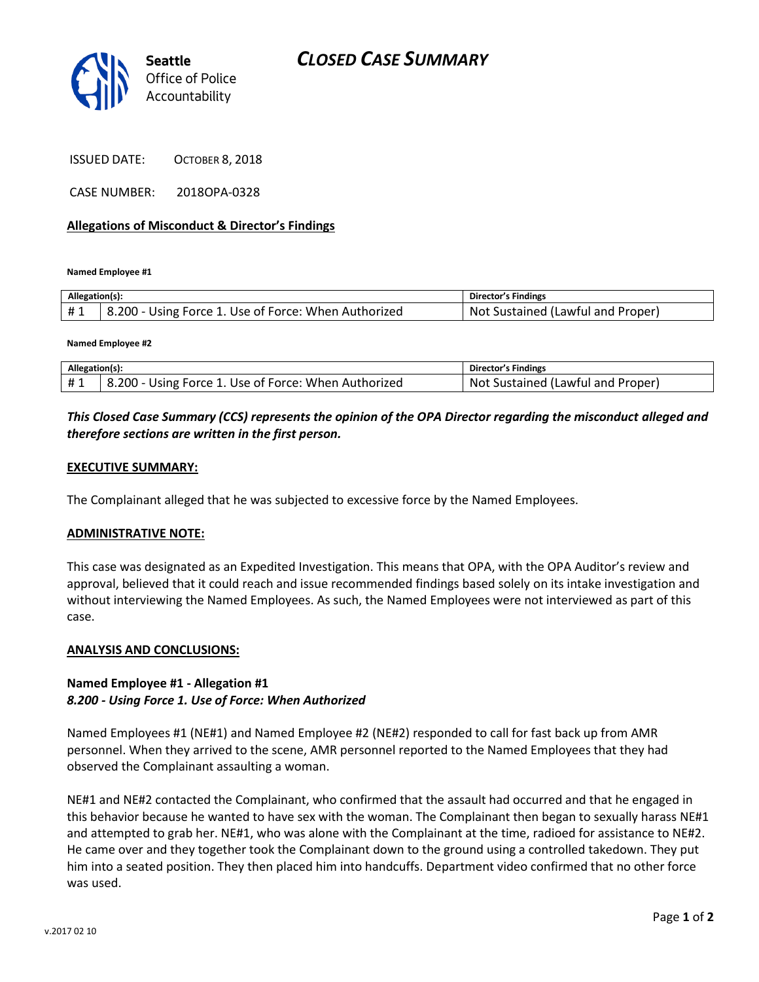

ISSUED DATE: OCTOBER 8, 2018

CASE NUMBER: 2018OPA-0328

#### **Allegations of Misconduct & Director's Findings**

**Named Employee #1**

| Allegation(s): |                                                                   | <b>Director's Findings</b>                    |
|----------------|-------------------------------------------------------------------|-----------------------------------------------|
| #1             | <sup>1</sup> 8.200 - Using Force 1. Use of Force: When Authorized | : Sustained (Lawful and Proper)<br><b>Not</b> |

**Named Employee #2**

| Allegation(s): |                                                      | Director's Findings               |
|----------------|------------------------------------------------------|-----------------------------------|
|                | 8.200 - Using Force 1. Use of Force: When Authorized | Not Sustained (Lawful and Proper) |

## *This Closed Case Summary (CCS) represents the opinion of the OPA Director regarding the misconduct alleged and therefore sections are written in the first person.*

#### **EXECUTIVE SUMMARY:**

The Complainant alleged that he was subjected to excessive force by the Named Employees.

#### **ADMINISTRATIVE NOTE:**

This case was designated as an Expedited Investigation. This means that OPA, with the OPA Auditor's review and approval, believed that it could reach and issue recommended findings based solely on its intake investigation and without interviewing the Named Employees. As such, the Named Employees were not interviewed as part of this case.

#### **ANALYSIS AND CONCLUSIONS:**

### **Named Employee #1 - Allegation #1** *8.200 - Using Force 1. Use of Force: When Authorized*

Named Employees #1 (NE#1) and Named Employee #2 (NE#2) responded to call for fast back up from AMR personnel. When they arrived to the scene, AMR personnel reported to the Named Employees that they had observed the Complainant assaulting a woman.

NE#1 and NE#2 contacted the Complainant, who confirmed that the assault had occurred and that he engaged in this behavior because he wanted to have sex with the woman. The Complainant then began to sexually harass NE#1 and attempted to grab her. NE#1, who was alone with the Complainant at the time, radioed for assistance to NE#2. He came over and they together took the Complainant down to the ground using a controlled takedown. They put him into a seated position. They then placed him into handcuffs. Department video confirmed that no other force was used.